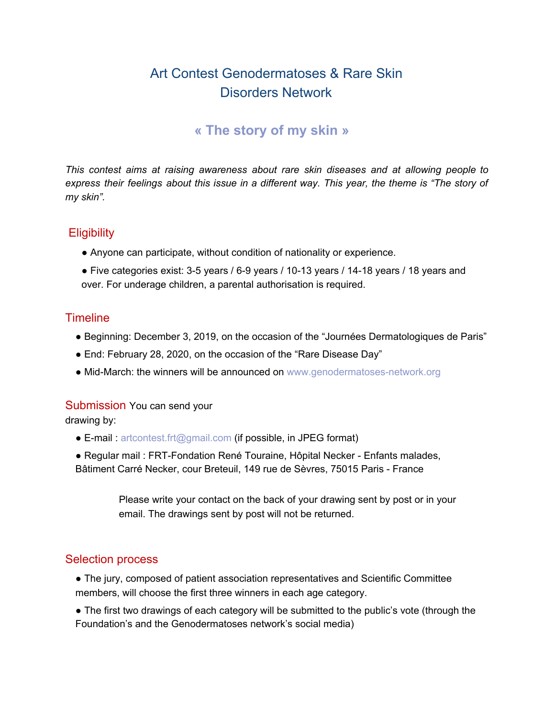# Art Contest Genodermatoses & Rare Skin Disorders Network

## **« The story of my skin »**

*This contest aims at raising awareness about rare skin diseases and at allowing people to express their feelings about this issue in a different way. This year, the theme is "The story of my skin".*

### **Eligibility**

- Anyone can participate, without condition of nationality or experience.
- Five categories exist: 3-5 years / 6-9 years / 10-13 years / 14-18 years / 18 years and over. For underage children, a parental authorisation is required.

### **Timeline**

- Beginning: December 3, 2019, on the occasion of the "Journées Dermatologiques de Paris"
- End: February 28, 2020, on the occasion of the "Rare Disease Day"
- Mid-March: the winners will be announced on www.genodermatoses-network.org

#### Submission You can send your

drawing by:

- E-mail : artcontest.frt@gmail.com (if possible, in JPEG format)
- Regular mail : FRT-Fondation René Touraine, Hôpital Necker Enfants malades, Bâtiment Carré Necker, cour Breteuil, 149 rue de Sèvres, 75015 Paris - France
	- Please write your contact on the back of your drawing sent by post or in your email. The drawings sent by post will not be returned.

### Selection process

- The jury, composed of patient association representatives and Scientific Committee members, will choose the first three winners in each age category.
- The first two drawings of each category will be submitted to the public's vote (through the Foundation's and the Genodermatoses network's social media)